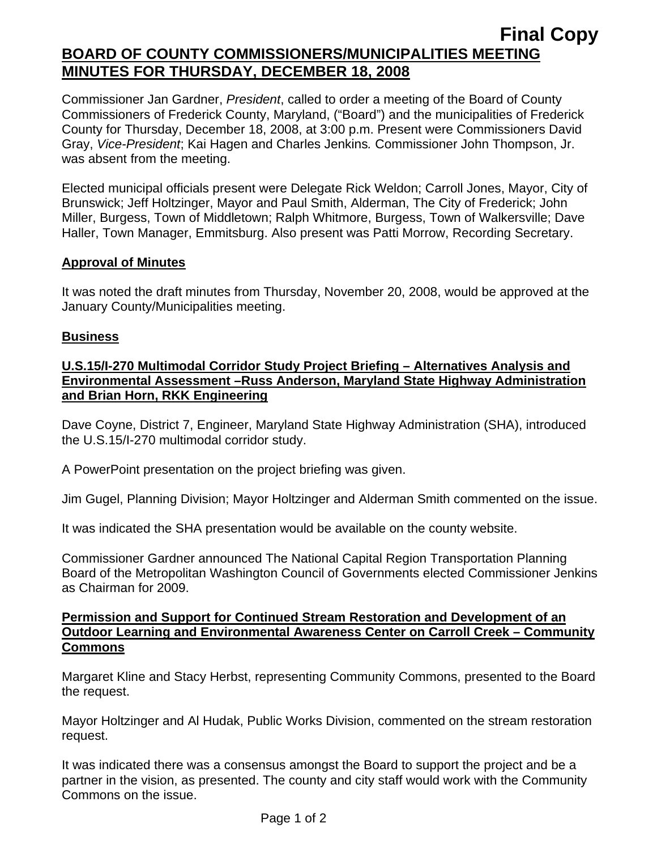# **Final Copy BOARD OF COUNTY COMMISSIONERS/MUNICIPALITIES MEETING MINUTES FOR THURSDAY, DECEMBER 18, 2008**

Commissioner Jan Gardner, *President*, called to order a meeting of the Board of County Commissioners of Frederick County, Maryland, ("Board") and the municipalities of Frederick County for Thursday, December 18, 2008, at 3:00 p.m. Present were Commissioners David Gray, *Vice-President*; Kai Hagen and Charles Jenkins*.* Commissioner John Thompson, Jr. was absent from the meeting.

Elected municipal officials present were Delegate Rick Weldon; Carroll Jones, Mayor, City of Brunswick; Jeff Holtzinger, Mayor and Paul Smith, Alderman, The City of Frederick; John Miller, Burgess, Town of Middletown; Ralph Whitmore, Burgess, Town of Walkersville; Dave Haller, Town Manager, Emmitsburg. Also present was Patti Morrow, Recording Secretary.

#### **Approval of Minutes**

It was noted the draft minutes from Thursday, November 20, 2008, would be approved at the January County/Municipalities meeting.

### **Business**

### **U.S.15/I-270 Multimodal Corridor Study Project Briefing – Alternatives Analysis and Environmental Assessment –Russ Anderson, Maryland State Highway Administration and Brian Horn, RKK Engineering**

Dave Coyne, District 7, Engineer, Maryland State Highway Administration (SHA), introduced the U.S.15/I-270 multimodal corridor study.

A PowerPoint presentation on the project briefing was given.

Jim Gugel, Planning Division; Mayor Holtzinger and Alderman Smith commented on the issue.

It was indicated the SHA presentation would be available on the county website.

Commissioner Gardner announced The National Capital Region Transportation Planning Board of the Metropolitan Washington Council of Governments elected Commissioner Jenkins as Chairman for 2009.

#### **Permission and Support for Continued Stream Restoration and Development of an Outdoor Learning and Environmental Awareness Center on Carroll Creek – Community Commons**

Margaret Kline and Stacy Herbst, representing Community Commons, presented to the Board the request.

Mayor Holtzinger and Al Hudak, Public Works Division, commented on the stream restoration request.

It was indicated there was a consensus amongst the Board to support the project and be a partner in the vision, as presented. The county and city staff would work with the Community Commons on the issue.